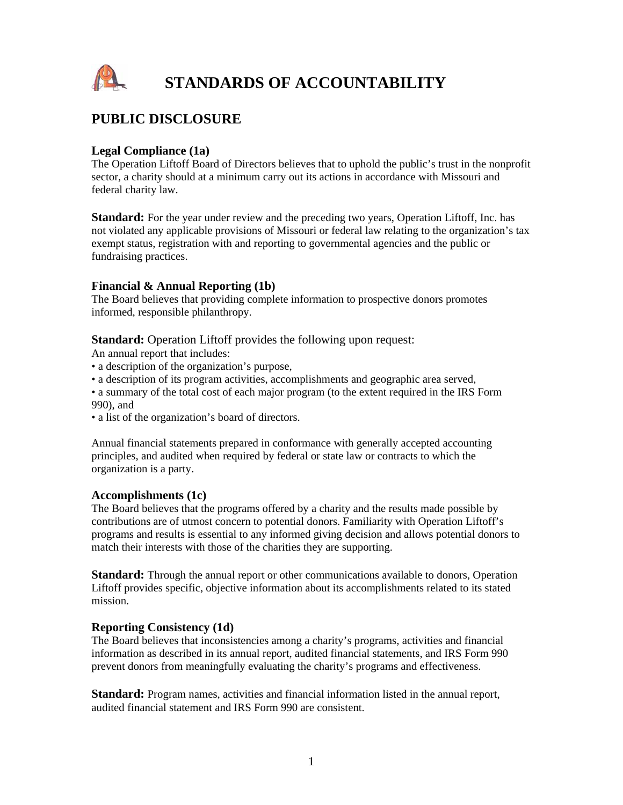

## **PUBLIC DISCLOSURE**

### **Legal Compliance (1a)**

The Operation Liftoff Board of Directors believes that to uphold the public's trust in the nonprofit sector, a charity should at a minimum carry out its actions in accordance with Missouri and federal charity law.

**Standard:** For the year under review and the preceding two years, Operation Liftoff, Inc. has not violated any applicable provisions of Missouri or federal law relating to the organization's tax exempt status, registration with and reporting to governmental agencies and the public or fundraising practices.

### **Financial & Annual Reporting (1b)**

The Board believes that providing complete information to prospective donors promotes informed, responsible philanthropy.

**Standard:** Operation Liftoff provides the following upon request:

An annual report that includes:

- a description of the organization's purpose,
- a description of its program activities, accomplishments and geographic area served,
- a summary of the total cost of each major program (to the extent required in the IRS Form 990), and
- a list of the organization's board of directors.

Annual financial statements prepared in conformance with generally accepted accounting principles, and audited when required by federal or state law or contracts to which the organization is a party.

### **Accomplishments (1c)**

The Board believes that the programs offered by a charity and the results made possible by contributions are of utmost concern to potential donors. Familiarity with Operation Liftoff's programs and results is essential to any informed giving decision and allows potential donors to match their interests with those of the charities they are supporting.

**Standard:** Through the annual report or other communications available to donors, Operation Liftoff provides specific, objective information about its accomplishments related to its stated mission.

### **Reporting Consistency (1d)**

The Board believes that inconsistencies among a charity's programs, activities and financial information as described in its annual report, audited financial statements, and IRS Form 990 prevent donors from meaningfully evaluating the charity's programs and effectiveness.

**Standard:** Program names, activities and financial information listed in the annual report, audited financial statement and IRS Form 990 are consistent.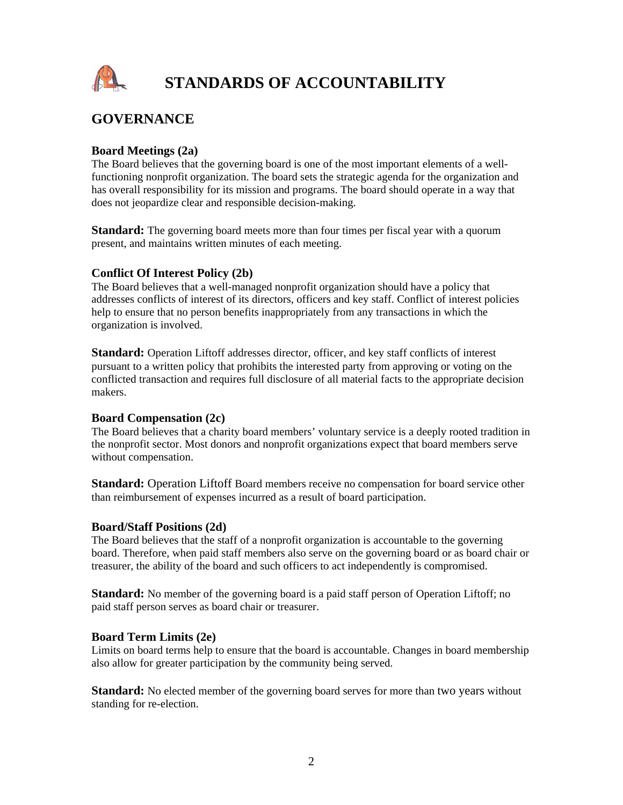

## **GOVERNANCE**

### **Board Meetings (2a)**

The Board believes that the governing board is one of the most important elements of a wellfunctioning nonprofit organization. The board sets the strategic agenda for the organization and has overall responsibility for its mission and programs. The board should operate in a way that does not jeopardize clear and responsible decision-making.

**Standard:** The governing board meets more than four times per fiscal year with a quorum present, and maintains written minutes of each meeting.

## **Conflict Of Interest Policy (2b)**

The Board believes that a well-managed nonprofit organization should have a policy that addresses conflicts of interest of its directors, officers and key staff. Conflict of interest policies help to ensure that no person benefits inappropriately from any transactions in which the organization is involved.

**Standard:** Operation Liftoff addresses director, officer, and key staff conflicts of interest pursuant to a written policy that prohibits the interested party from approving or voting on the conflicted transaction and requires full disclosure of all material facts to the appropriate decision makers.

### **Board Compensation (2c)**

The Board believes that a charity board members' voluntary service is a deeply rooted tradition in the nonprofit sector. Most donors and nonprofit organizations expect that board members serve without compensation.

**Standard:** Operation Liftoff Board members receive no compensation for board service other than reimbursement of expenses incurred as a result of board participation.

### **Board/Staff Positions (2d)**

The Board believes that the staff of a nonprofit organization is accountable to the governing board. Therefore, when paid staff members also serve on the governing board or as board chair or treasurer, the ability of the board and such officers to act independently is compromised.

**Standard:** No member of the governing board is a paid staff person of Operation Liftoff; no paid staff person serves as board chair or treasurer.

## **Board Term Limits (2e)**

Limits on board terms help to ensure that the board is accountable. Changes in board membership also allow for greater participation by the community being served.

**Standard:** No elected member of the governing board serves for more than two years without standing for re-election.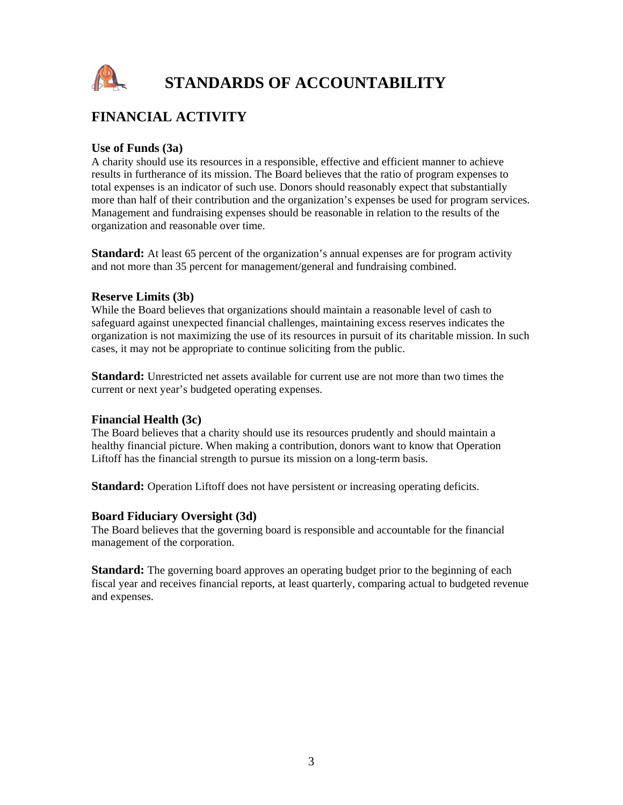

# **FINANCIAL ACTIVITY**

## **Use of Funds (3a)**

A charity should use its resources in a responsible, effective and efficient manner to achieve results in furtherance of its mission. The Board believes that the ratio of program expenses to total expenses is an indicator of such use. Donors should reasonably expect that substantially more than half of their contribution and the organization's expenses be used for program services. Management and fundraising expenses should be reasonable in relation to the results of the organization and reasonable over time.

**Standard:** At least 65 percent of the organization's annual expenses are for program activity and not more than 35 percent for management/general and fundraising combined.

#### **Reserve Limits (3b)**

While the Board believes that organizations should maintain a reasonable level of cash to safeguard against unexpected financial challenges, maintaining excess reserves indicates the organization is not maximizing the use of its resources in pursuit of its charitable mission. In such cases, it may not be appropriate to continue soliciting from the public.

**Standard:** Unrestricted net assets available for current use are not more than two times the current or next year's budgeted operating expenses.

#### **Financial Health (3c)**

The Board believes that a charity should use its resources prudently and should maintain a healthy financial picture. When making a contribution, donors want to know that Operation Liftoff has the financial strength to pursue its mission on a long-term basis.

Standard: Operation Liftoff does not have persistent or increasing operating deficits.

### **Board Fiduciary Oversight (3d)**

The Board believes that the governing board is responsible and accountable for the financial management of the corporation.

**Standard:** The governing board approves an operating budget prior to the beginning of each fiscal year and receives financial reports, at least quarterly, comparing actual to budgeted revenue and expenses.